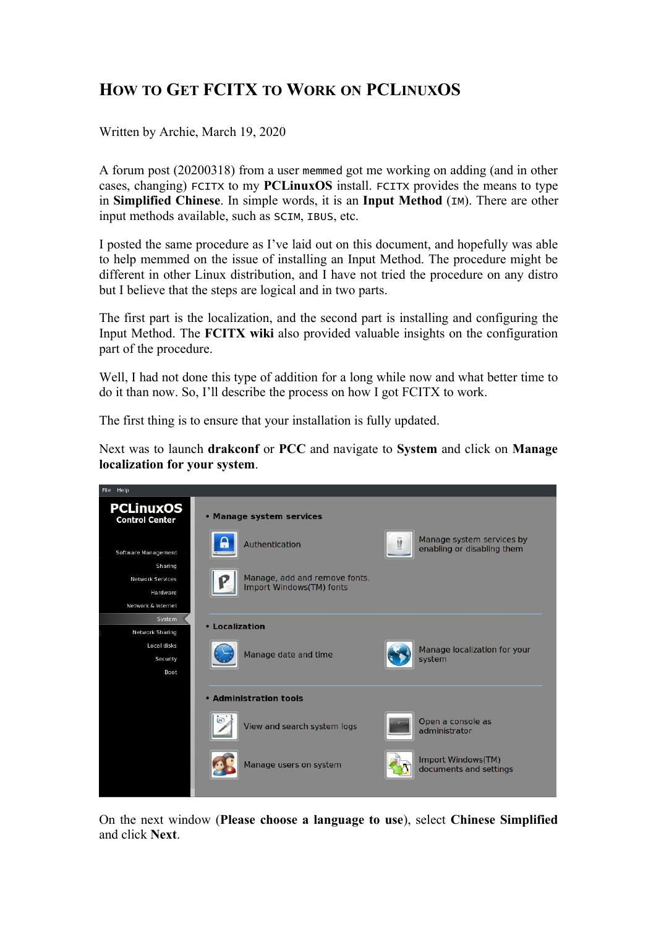## **HOW TO GET FCITX TO WORK ON PCLINUXOS**

Written by Archie, March 19, 2020

A [forum](https://pclinuxos.com/forum) post (20200318) from a user memmed got me working on adding (and in other cases, changing) FCITX to my **PCLinuxOS** install. FCITX provides the means to type in **Simplified Chinese**. In simple words, it is an **Input Method** (IM). There are other input methods available, such as SCIM, IBUS, etc.

I posted the same procedure as I've laid out on this document, and hopefully was able to help memmed on the issue of installing an Input Method. The procedure might be different in other Linux distribution, and I have not tried the procedure on any distro but I believe that the steps are logical and in two parts.

The first part is the localization, and the second part is installing and configuring the Input Method. The **[FCITX](https://fcitx-im.org/wiki/Configure_(Other)) wiki** also provided valuable insights on the configuration part of the procedure.

Well, I had not done this type of addition for a long while now and what better time to do it than now. So, I'll describe the process on how I got FCITX to work.

The first thing is to ensure that your installation is fully updated.

Next was to launch **drakconf** or **PCC** and navigate to **System** and click on **Manage localization for your system**.



On the next window (**Please choose a language to use**), select **Chinese Simplified** and click **Next**.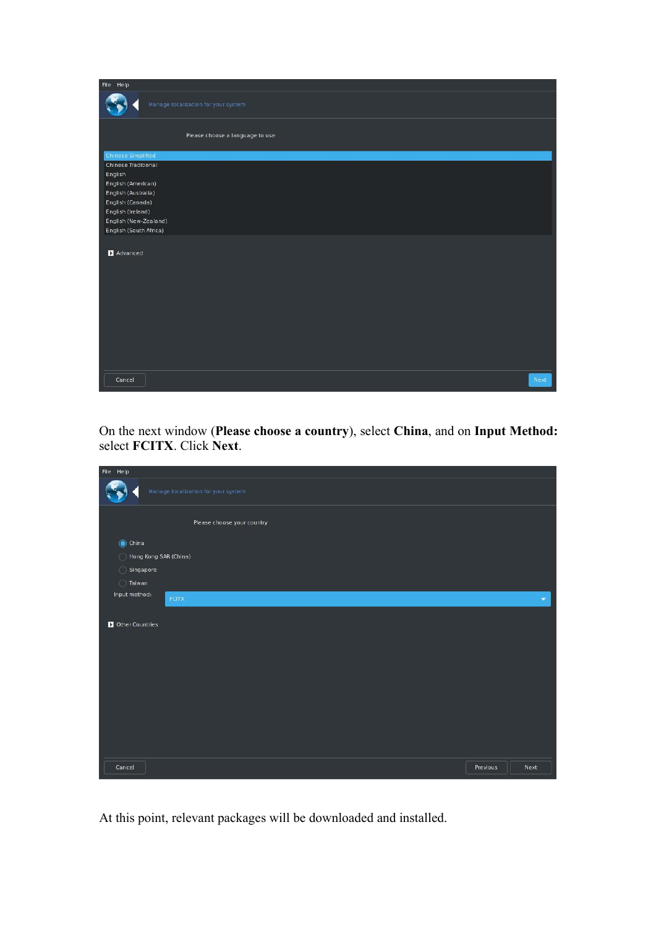| File Help                                                                                                                                                                                                   |                                     |      |
|-------------------------------------------------------------------------------------------------------------------------------------------------------------------------------------------------------------|-------------------------------------|------|
|                                                                                                                                                                                                             | Manage localization for your system |      |
|                                                                                                                                                                                                             | Please choose a language to use     |      |
| <b>Chinese Simplified</b><br><b>Chinese Traditional</b><br>English<br>English (American)<br>English (Australia)<br>English (Canada)<br>English (Ireland)<br>English (New-Zealand)<br>English (South Africa) |                                     |      |
| Advanced                                                                                                                                                                                                    |                                     |      |
| Cancel                                                                                                                                                                                                      |                                     | Next |

On the next window (**Please choose a country**), select **China**, and on **Input Method:** select **FCITX**. Click **Next**.

| File Help                           |          |                          |
|-------------------------------------|----------|--------------------------|
| Manage localization for your system |          |                          |
| Please choose your country          |          |                          |
| $\odot$ China                       |          |                          |
| Hong Kong SAR (China)<br>O          |          |                          |
| Singapore                           |          |                          |
| <b>Taiwan</b>                       |          |                          |
| Input method:<br><b>FCITX</b>       |          | $\overline{\phantom{a}}$ |
|                                     |          |                          |
| Other Countries                     |          |                          |
|                                     |          |                          |
|                                     |          |                          |
|                                     |          |                          |
|                                     |          |                          |
|                                     |          |                          |
|                                     |          |                          |
|                                     |          |                          |
|                                     |          |                          |
|                                     |          |                          |
|                                     |          |                          |
| Cancel                              | Previous | Next                     |
|                                     |          |                          |

At this point, relevant packages will be downloaded and installed.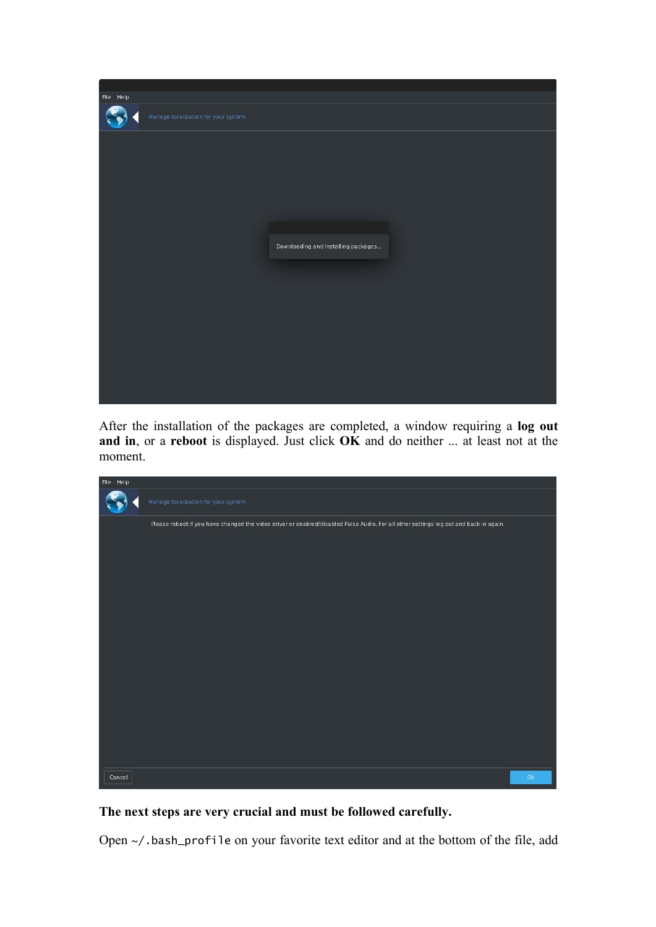

After the installation of the packages are completed, a window requiring a **log out and in**, or a **reboot** is displayed. Just click **OK** and do neither ... at least not at the moment.

| File Help |                                                                                                                                       |               |
|-----------|---------------------------------------------------------------------------------------------------------------------------------------|---------------|
|           | Manage localization for your system                                                                                                   |               |
|           | Please reboot if you have changed the video driver or enabled/disabled Pulse Audio. For all other settings log out and back in again. |               |
|           |                                                                                                                                       |               |
|           |                                                                                                                                       |               |
|           |                                                                                                                                       |               |
|           |                                                                                                                                       |               |
|           |                                                                                                                                       |               |
|           |                                                                                                                                       |               |
|           |                                                                                                                                       |               |
|           |                                                                                                                                       |               |
|           |                                                                                                                                       |               |
|           |                                                                                                                                       |               |
|           |                                                                                                                                       |               |
|           |                                                                                                                                       |               |
|           |                                                                                                                                       |               |
| Cancel    |                                                                                                                                       | $\mathsf{Ok}$ |

## **The nextsteps are very crucial and must be followed carefully.**

Open ~/.bash\_profile on your favorite text editor and at the bottom of the file, add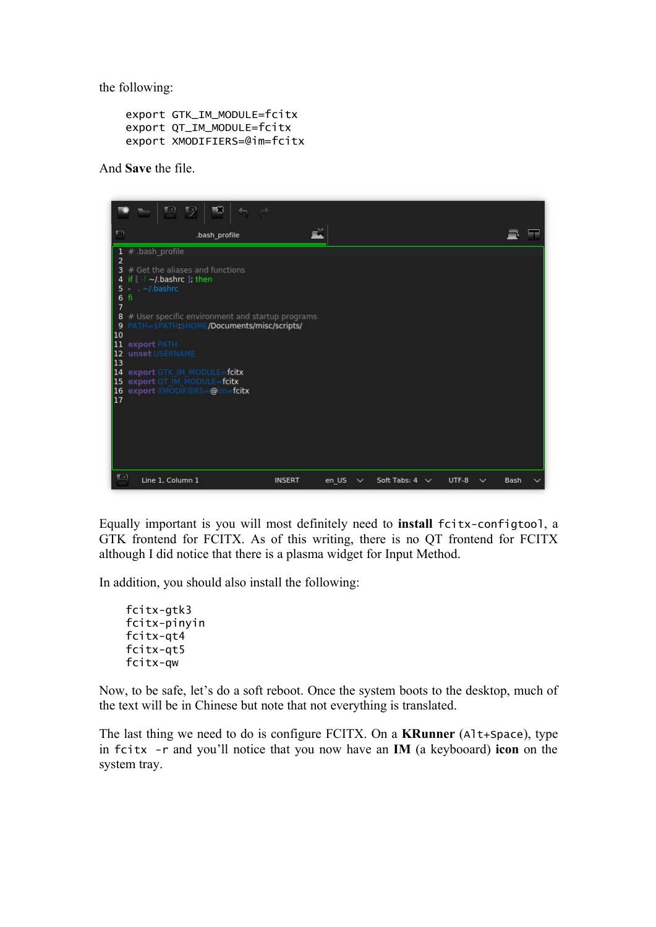the following:

```
export GTK_IM_MODULE=fcitx
export QT_IM_MODULE=fcitx
export XMODIFIERS=@im=fcitx
```
And **Save** the file.



Equally important is you will most definitely need to **install** fcitx-configtool, a GTK frontend for FCITX. As of this writing, there is no QT frontend for FCITX although I did notice that there is a plasma widget for Input Method.

In addition, you should also install the following:

fcitx-gtk3 fcitx-pinyin fcitx-qt4 fcitx-qt5 fcitx-qw

Now, to be safe, let's do a soft reboot. Once the system boots to the desktop, much of the text will be in Chinese but note that not everything is translated.

The last thing we need to do is configure FCITX. On a **KRunner** (Alt+Space), type in fcitx -r and you'll notice that you now have an **IM** (a keybooard) **icon** on the system tray.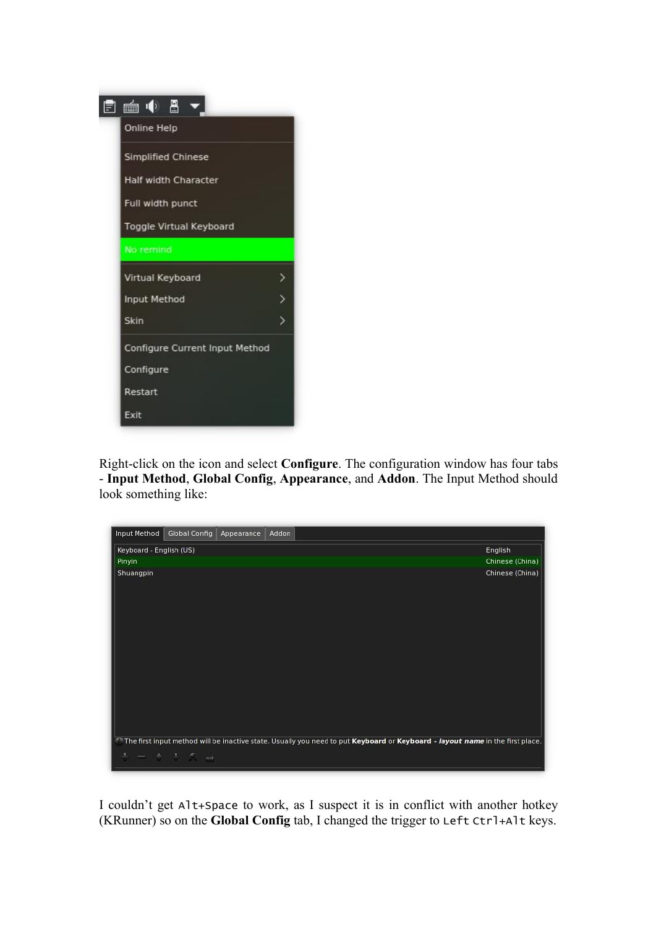

Right-click on the icon and select**Configure**. The configuration window has four tabs - **Input Method**, **Global Config**, **Appearance**, and **Addon**. The Input Method should look something like:

| Input Method            | Global Config                                                                                                                 | Appearance | Addon |  |  |  |  |  |  |  |  |  |  |  |  |  |  |  |  |  |  |  |  |  |  |  |  |  |  |  |  |  |  |  |  |  |  |  |  |  |  |  |  |  |  |  |  |  |  |  |  |  |  |  |  |  |  |  |  |  |  |  |  |  |  |  |  |  |  |  |  |  |
|-------------------------|-------------------------------------------------------------------------------------------------------------------------------|------------|-------|--|--|--|--|--|--|--|--|--|--|--|--|--|--|--|--|--|--|--|--|--|--|--|--|--|--|--|--|--|--|--|--|--|--|--|--|--|--|--|--|--|--|--|--|--|--|--|--|--|--|--|--|--|--|--|--|--|--|--|--|--|--|--|--|--|--|--|--|--|
| Keyboard - English (US) |                                                                                                                               |            |       |  |  |  |  |  |  |  |  |  |  |  |  |  |  |  |  |  |  |  |  |  |  |  |  |  |  |  |  |  |  |  |  |  |  |  |  |  |  |  |  |  |  |  |  |  |  |  |  |  |  |  |  |  |  |  |  |  |  |  |  |  |  |  |  |  |  |  |  |  |
| Pinyin                  |                                                                                                                               |            |       |  |  |  |  |  |  |  |  |  |  |  |  |  |  |  |  |  |  |  |  |  |  |  |  |  |  |  |  |  |  |  |  |  |  |  |  |  |  |  |  |  |  |  |  |  |  |  |  |  |  |  |  |  |  |  |  |  |  |  |  |  |  |  |  |  |  |  |  |  |
| Shuangpin               |                                                                                                                               |            |       |  |  |  |  |  |  |  |  |  |  |  |  |  |  |  |  |  |  |  |  |  |  |  |  |  |  |  |  |  |  |  |  |  |  |  |  |  |  |  |  |  |  |  |  |  |  |  |  |  |  |  |  |  |  |  |  |  |  |  |  |  |  |  |  |  |  |  |  |  |
|                         | The first input method will be inactive state. Usually you need to put Keyboard or Keyboard - layout name in the first place. |            |       |  |  |  |  |  |  |  |  |  |  |  |  |  |  |  |  |  |  |  |  |  |  |  |  |  |  |  |  |  |  |  |  |  |  |  |  |  |  |  |  |  |  |  |  |  |  |  |  |  |  |  |  |  |  |  |  |  |  |  |  |  |  |  |  |  |  |  |  |  |
|                         | おり 一つかっ あいぶり 品                                                                                                                |            |       |  |  |  |  |  |  |  |  |  |  |  |  |  |  |  |  |  |  |  |  |  |  |  |  |  |  |  |  |  |  |  |  |  |  |  |  |  |  |  |  |  |  |  |  |  |  |  |  |  |  |  |  |  |  |  |  |  |  |  |  |  |  |  |  |  |  |  |  |  |

I couldn't get Alt+Space to work, as I suspect it is in conflict with another hotkey (KRunner) so on the **GlobalConfig** tab, I changed the trigger to Left Ctrl+Alt keys.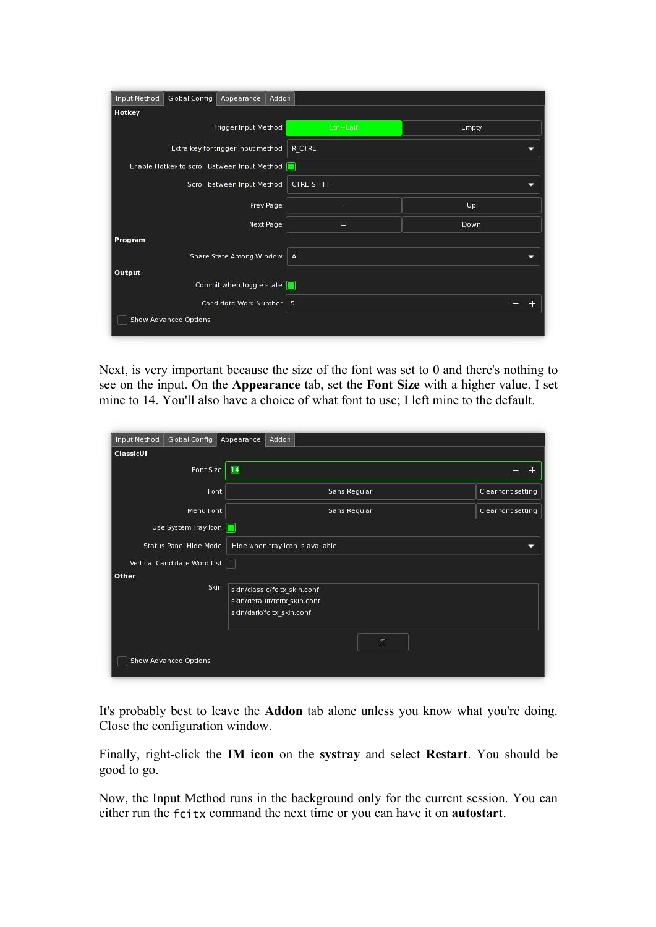| <b>Hotkey</b>                                |              |       |
|----------------------------------------------|--------------|-------|
| Trigger Input Method                         | $Ctrl+ Lalt$ | Empty |
| Extra key for trigger input method           | R CTRL       |       |
| Enable Hotkey to scroll Between Input Method |              |       |
| Scroll between Input Method                  | CTRL SHIFT   |       |
| Prev Page                                    |              | Up    |
| Next Page                                    | =            | Down  |
| Program                                      |              |       |
| Share State Among Window                     | All          |       |
| Output                                       |              |       |
| Commit when toggle state                     |              |       |
| Candidate Word Number                        | 5            |       |

Next, is very important because the size of the font was set to  $0$  and there's nothing to see on the input. On the **Appearance** tab, set the **Font** Size with a higher value. I set mine to 14. You'll also have a choice of what font to use; I left mine to the default.

| Font Size                     | 14                               |                    |
|-------------------------------|----------------------------------|--------------------|
| Font                          | Sans Regular                     | Clear font setting |
| Menu Font                     | Sans Regular                     | Clear font setting |
| Use System Tray Icon          |                                  |                    |
| <b>Status Panel Hide Mode</b> | Hide when tray icon is available |                    |
| Vertical Candidate Word List  |                                  |                    |
| Other                         |                                  |                    |
| Skin                          | skin/classic/fcitx_skin.conf     |                    |
|                               | skin/default/fcitx skin.conf     |                    |
|                               | skin/dark/fcitx_skin.conf        |                    |
|                               | đ,                               |                    |

It's probably best to leave the **Addon** tab alone unless you know what you're doing. Close the configuration window.

Finally, right-click the **IM icon** on the **systray** and select **Restart**. You should be good to go.

Now, the Input Method runs in the background only for the current session. You can either run the fcitx command the next time or you can have it on **autostart**.